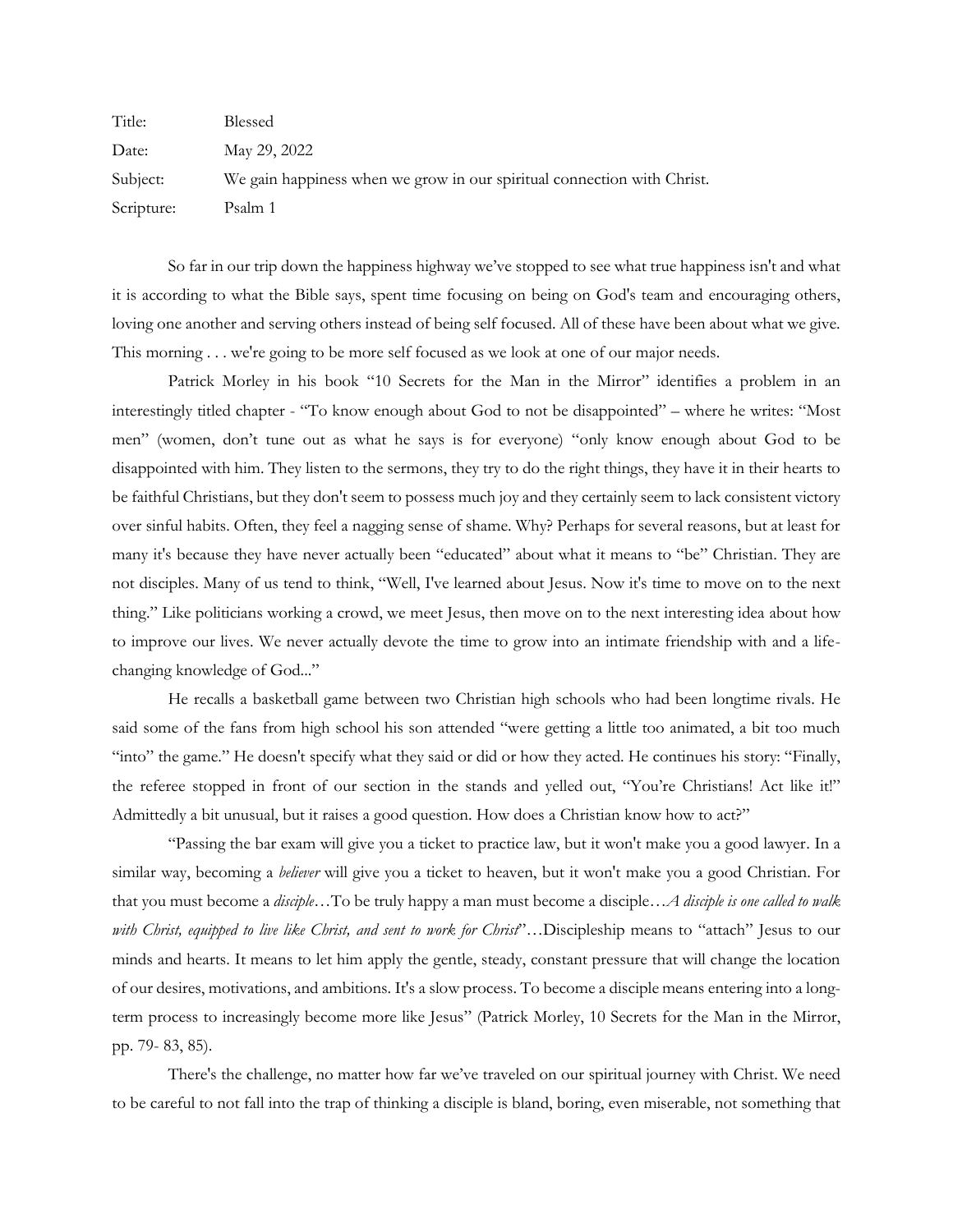| Title:     | Blessed                                                                 |
|------------|-------------------------------------------------------------------------|
| Date:      | May 29, 2022                                                            |
| Subject:   | We gain happiness when we grow in our spiritual connection with Christ. |
| Scripture: | Psalm 1                                                                 |

So far in our trip down the happiness highway we've stopped to see what true happiness isn't and what it is according to what the Bible says, spent time focusing on being on God's team and encouraging others, loving one another and serving others instead of being self focused. All of these have been about what we give. This morning . . . we're going to be more self focused as we look at one of our major needs.

Patrick Morley in his book "10 Secrets for the Man in the Mirror" identifies a problem in an interestingly titled chapter - "To know enough about God to not be disappointed" – where he writes: "Most men" (women, don't tune out as what he says is for everyone) "only know enough about God to be disappointed with him. They listen to the sermons, they try to do the right things, they have it in their hearts to be faithful Christians, but they don't seem to possess much joy and they certainly seem to lack consistent victory over sinful habits. Often, they feel a nagging sense of shame. Why? Perhaps for several reasons, but at least for many it's because they have never actually been "educated" about what it means to "be" Christian. They are not disciples. Many of us tend to think, "Well, I've learned about Jesus. Now it's time to move on to the next thing." Like politicians working a crowd, we meet Jesus, then move on to the next interesting idea about how to improve our lives. We never actually devote the time to grow into an intimate friendship with and a lifechanging knowledge of God..."

He recalls a basketball game between two Christian high schools who had been longtime rivals. He said some of the fans from high school his son attended "were getting a little too animated, a bit too much "into" the game." He doesn't specify what they said or did or how they acted. He continues his story: "Finally, the referee stopped in front of our section in the stands and yelled out, "You're Christians! Act like it!" Admittedly a bit unusual, but it raises a good question. How does a Christian know how to act?"

"Passing the bar exam will give you a ticket to practice law, but it won't make you a good lawyer. In a similar way, becoming a *believer* will give you a ticket to heaven, but it won't make you a good Christian. For that you must become a *disciple*…To be truly happy a man must become a disciple…*A disciple is one called to walk with Christ, equipped to live like Christ, and sent to work for Christ*"…Discipleship means to "attach" Jesus to our minds and hearts. It means to let him apply the gentle, steady, constant pressure that will change the location of our desires, motivations, and ambitions. It's a slow process. To become a disciple means entering into a longterm process to increasingly become more like Jesus" (Patrick Morley, 10 Secrets for the Man in the Mirror, pp. 79- 83, 85).

There's the challenge, no matter how far we've traveled on our spiritual journey with Christ. We need to be careful to not fall into the trap of thinking a disciple is bland, boring, even miserable, not something that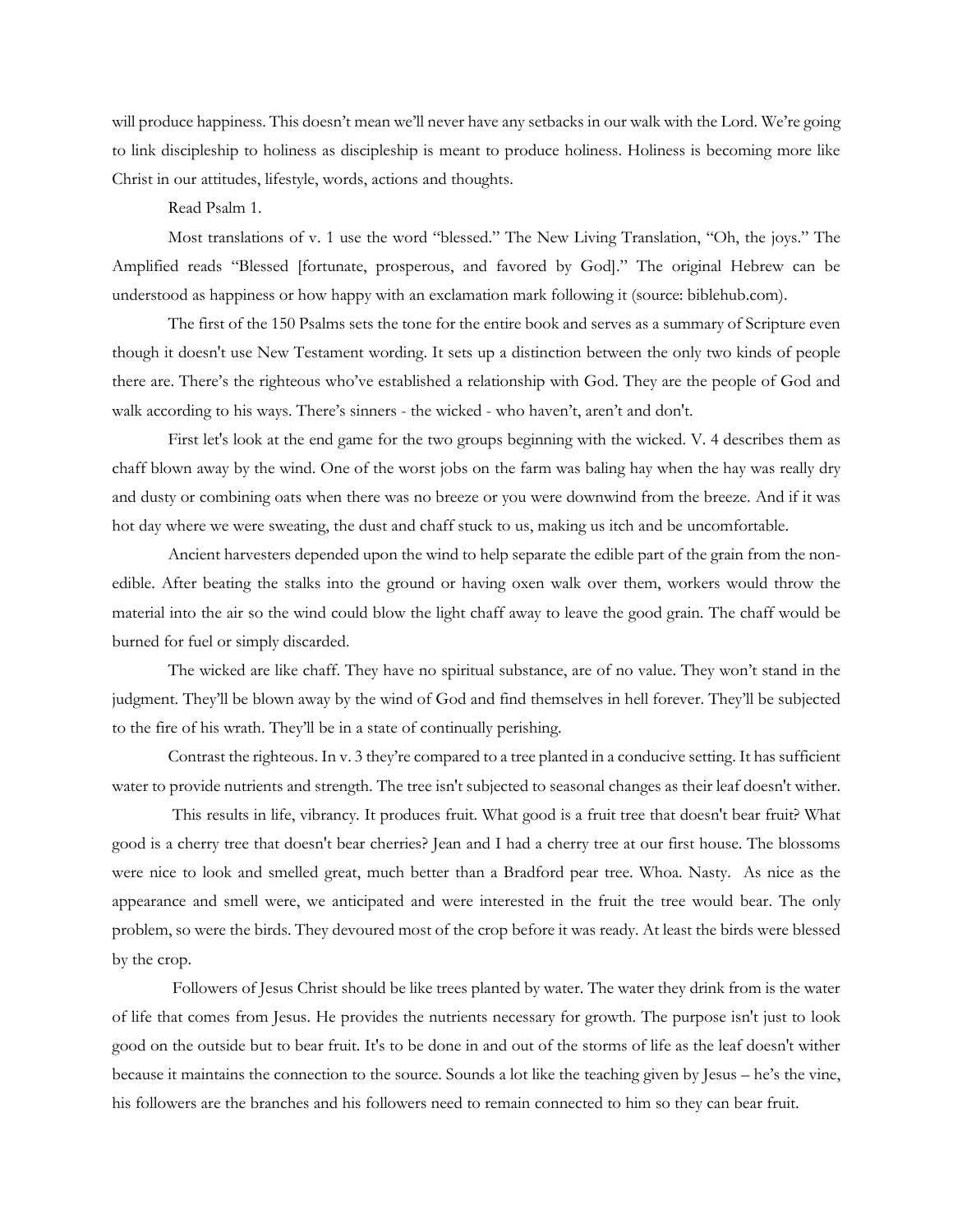will produce happiness. This doesn't mean we'll never have any setbacks in our walk with the Lord. We're going to link discipleship to holiness as discipleship is meant to produce holiness. Holiness is becoming more like Christ in our attitudes, lifestyle, words, actions and thoughts.

Read Psalm 1.

Most translations of v. 1 use the word "blessed." The New Living Translation, "Oh, the joys." The Amplified reads "Blessed [fortunate, prosperous, and favored by God]." The original Hebrew can be understood as happiness or how happy with an exclamation mark following it (source: biblehub.com).

The first of the 150 Psalms sets the tone for the entire book and serves as a summary of Scripture even though it doesn't use New Testament wording. It sets up a distinction between the only two kinds of people there are. There's the righteous who've established a relationship with God. They are the people of God and walk according to his ways. There's sinners - the wicked - who haven't, aren't and don't.

First let's look at the end game for the two groups beginning with the wicked. V. 4 describes them as chaff blown away by the wind. One of the worst jobs on the farm was baling hay when the hay was really dry and dusty or combining oats when there was no breeze or you were downwind from the breeze. And if it was hot day where we were sweating, the dust and chaff stuck to us, making us itch and be uncomfortable.

Ancient harvesters depended upon the wind to help separate the edible part of the grain from the nonedible. After beating the stalks into the ground or having oxen walk over them, workers would throw the material into the air so the wind could blow the light chaff away to leave the good grain. The chaff would be burned for fuel or simply discarded.

The wicked are like chaff. They have no spiritual substance, are of no value. They won't stand in the judgment. They'll be blown away by the wind of God and find themselves in hell forever. They'll be subjected to the fire of his wrath. They'll be in a state of continually perishing.

Contrast the righteous. In v. 3 they're compared to a tree planted in a conducive setting. It has sufficient water to provide nutrients and strength. The tree isn't subjected to seasonal changes as their leaf doesn't wither.

This results in life, vibrancy. It produces fruit. What good is a fruit tree that doesn't bear fruit? What good is a cherry tree that doesn't bear cherries? Jean and I had a cherry tree at our first house. The blossoms were nice to look and smelled great, much better than a Bradford pear tree. Whoa. Nasty. As nice as the appearance and smell were, we anticipated and were interested in the fruit the tree would bear. The only problem, so were the birds. They devoured most of the crop before it was ready. At least the birds were blessed by the crop.

Followers of Jesus Christ should be like trees planted by water. The water they drink from is the water of life that comes from Jesus. He provides the nutrients necessary for growth. The purpose isn't just to look good on the outside but to bear fruit. It's to be done in and out of the storms of life as the leaf doesn't wither because it maintains the connection to the source. Sounds a lot like the teaching given by Jesus – he's the vine, his followers are the branches and his followers need to remain connected to him so they can bear fruit.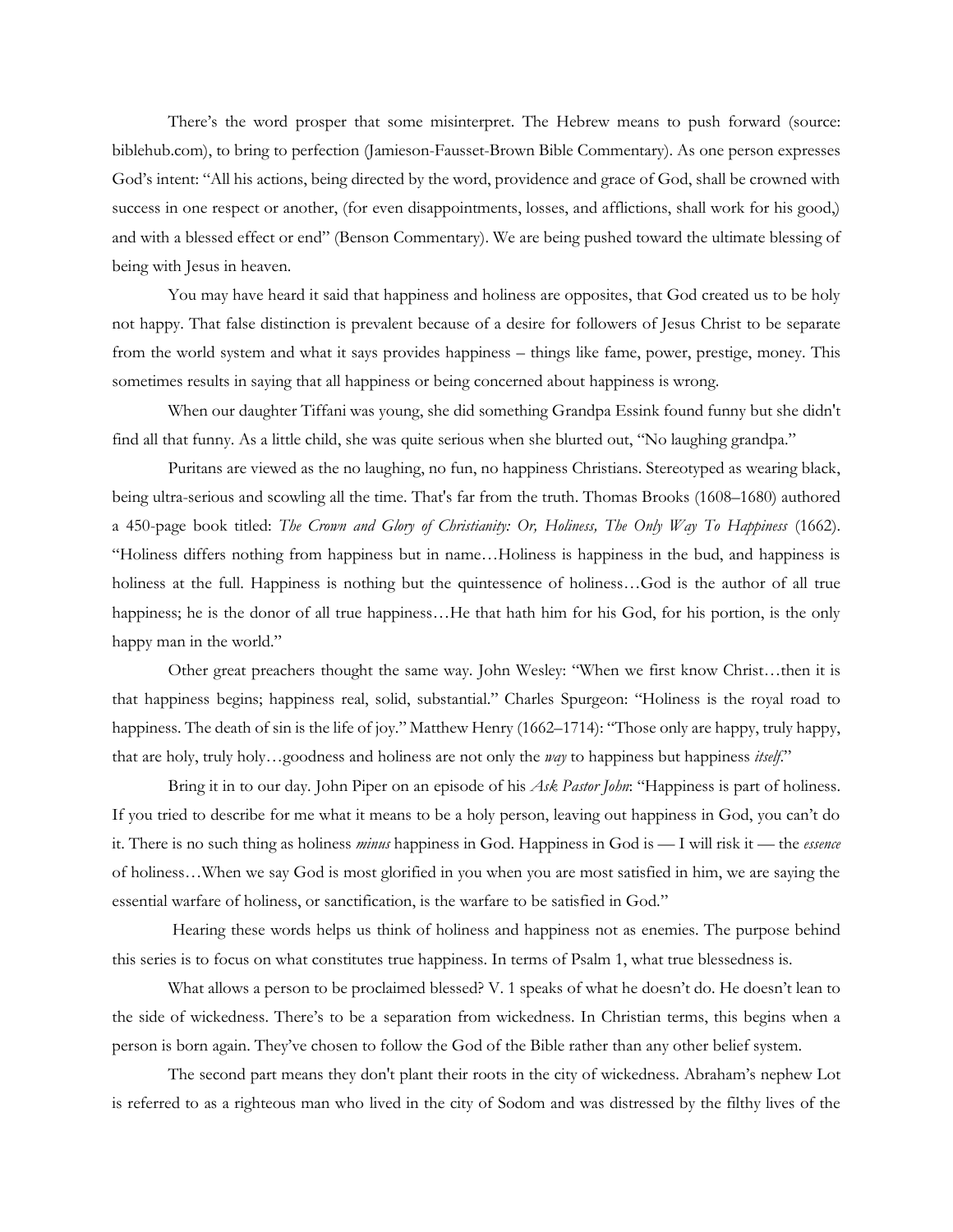There's the word prosper that some misinterpret. The Hebrew means to push forward (source: biblehub.com), to bring to perfection [\(Jamieson-Fausset-Brown Bible Commentary\)](https://biblehub.com/commentaries/jfb/psalms/1.htm). As one person expresses God's intent: "All his actions, being directed by the word, providence and grace of God, shall be crowned with success in one respect or another, (for even disappointments, losses, and afflictions, shall work for his good,) and with a blessed effect or end" (Benson Commentary). We are being pushed toward the ultimate blessing of being with Jesus in heaven.

You may have heard it said that happiness and holiness are opposites, that God created us to be holy not happy. That false distinction is prevalent because of a desire for followers of Jesus Christ to be separate from the world system and what it says provides happiness – things like fame, power, prestige, money. This sometimes results in saying that all happiness or being concerned about happiness is wrong.

When our daughter Tiffani was young, she did something Grandpa Essink found funny but she didn't find all that funny. As a little child, she was quite serious when she blurted out, "No laughing grandpa."

Puritans are viewed as the no laughing, no fun, no happiness Christians. Stereotyped as wearing black, being ultra-serious and scowling all the time. That's far from the truth. Thomas Brooks (1608–1680) authored a 450-page book titled: *The Crown and Glory of Christianity: Or, Holiness, The Only Way To Happiness* (1662). "Holiness differs nothing from happiness but in name…Holiness is happiness in the bud, and happiness is holiness at the full. Happiness is nothing but the quintessence of holiness…God is the author of all true happiness; he is the donor of all true happiness…He that hath him for his God, for his portion, is the only happy man in the world."

Other great preachers thought the same way. John Wesley: "When we first know Christ…then it is that happiness begins; happiness real, solid, substantial." Charles Spurgeon: "Holiness is the royal road to happiness. The death of sin is the life of joy." Matthew Henry (1662–1714): "Those only are happy, truly happy, that are holy, truly holy…goodness and holiness are not only the *way* to happiness but happiness *itself*."

Bring it in to our day. John Piper on an episode of his *Ask Pastor John*: "Happiness is part of holiness. If you tried to describe for me what it means to be a holy person, leaving out happiness in God, you can't do it. There is no such thing as holiness *minus* happiness in God. Happiness in God is — I will risk it — the *essence* of holiness…When we say God is most glorified in you when you are most satisfied in him, we are saying the essential warfare of holiness, or sanctification, is the warfare to be satisfied in God."

Hearing these words helps us think of holiness and happiness not as enemies. The purpose behind this series is to focus on what constitutes true happiness. In terms of Psalm 1, what true blessedness is.

What allows a person to be proclaimed blessed? V. 1 speaks of what he doesn't do. He doesn't lean to the side of wickedness. There's to be a separation from wickedness. In Christian terms, this begins when a person is born again. They've chosen to follow the God of the Bible rather than any other belief system.

The second part means they don't plant their roots in the city of wickedness. Abraham's nephew Lot is referred to as a righteous man who lived in the city of Sodom and was distressed by the filthy lives of the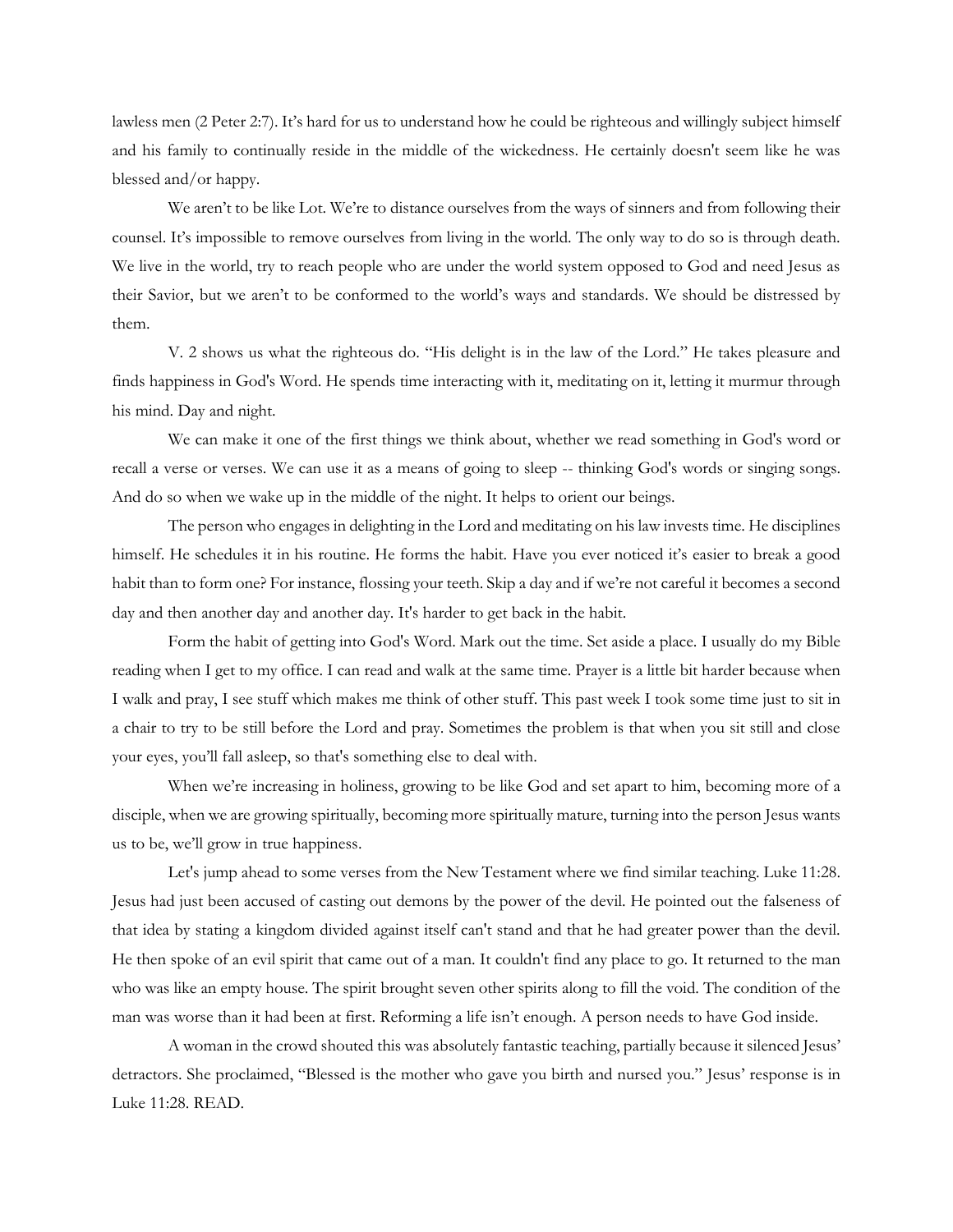lawless men (2 Peter 2:7). It's hard for us to understand how he could be righteous and willingly subject himself and his family to continually reside in the middle of the wickedness. He certainly doesn't seem like he was blessed and/or happy.

We aren't to be like Lot. We're to distance ourselves from the ways of sinners and from following their counsel. It's impossible to remove ourselves from living in the world. The only way to do so is through death. We live in the world, try to reach people who are under the world system opposed to God and need Jesus as their Savior, but we aren't to be conformed to the world's ways and standards. We should be distressed by them.

V. 2 shows us what the righteous do. "His delight is in the law of the Lord." He takes pleasure and finds happiness in God's Word. He spends time interacting with it, meditating on it, letting it murmur through his mind. Day and night.

We can make it one of the first things we think about, whether we read something in God's word or recall a verse or verses. We can use it as a means of going to sleep -- thinking God's words or singing songs. And do so when we wake up in the middle of the night. It helps to orient our beings.

The person who engages in delighting in the Lord and meditating on his law invests time. He disciplines himself. He schedules it in his routine. He forms the habit. Have you ever noticed it's easier to break a good habit than to form one? For instance, flossing your teeth. Skip a day and if we're not careful it becomes a second day and then another day and another day. It's harder to get back in the habit.

Form the habit of getting into God's Word. Mark out the time. Set aside a place. I usually do my Bible reading when I get to my office. I can read and walk at the same time. Prayer is a little bit harder because when I walk and pray, I see stuff which makes me think of other stuff. This past week I took some time just to sit in a chair to try to be still before the Lord and pray. Sometimes the problem is that when you sit still and close your eyes, you'll fall asleep, so that's something else to deal with.

When we're increasing in holiness, growing to be like God and set apart to him, becoming more of a disciple, when we are growing spiritually, becoming more spiritually mature, turning into the person Jesus wants us to be, we'll grow in true happiness.

Let's jump ahead to some verses from the New Testament where we find similar teaching. Luke 11:28. Jesus had just been accused of casting out demons by the power of the devil. He pointed out the falseness of that idea by stating a kingdom divided against itself can't stand and that he had greater power than the devil. He then spoke of an evil spirit that came out of a man. It couldn't find any place to go. It returned to the man who was like an empty house. The spirit brought seven other spirits along to fill the void. The condition of the man was worse than it had been at first. Reforming a life isn't enough. A person needs to have God inside.

A woman in the crowd shouted this was absolutely fantastic teaching, partially because it silenced Jesus' detractors. She proclaimed, "Blessed is the mother who gave you birth and nursed you." Jesus' response is in Luke 11:28. READ.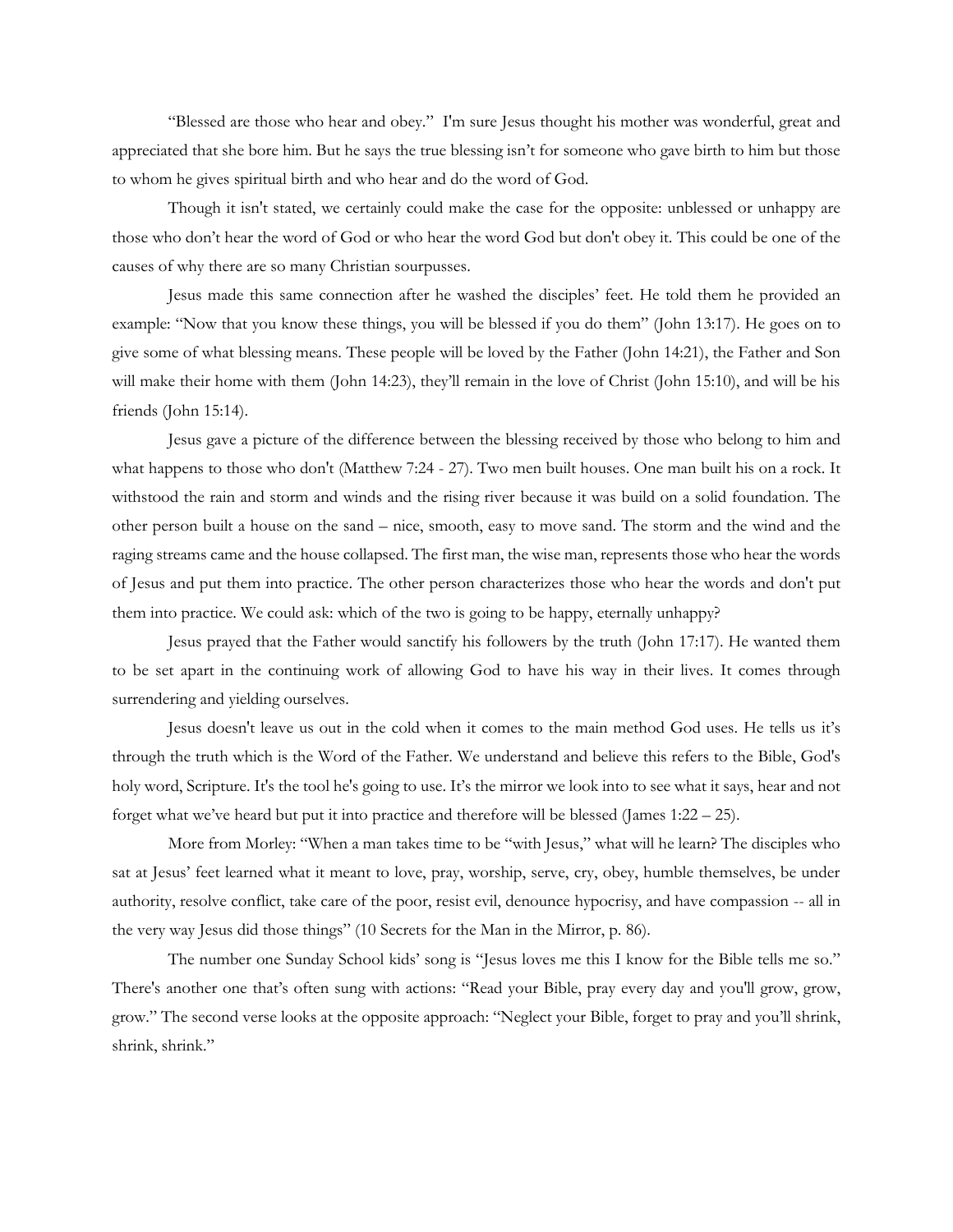"Blessed are those who hear and obey." I'm sure Jesus thought his mother was wonderful, great and appreciated that she bore him. But he says the true blessing isn't for someone who gave birth to him but those to whom he gives spiritual birth and who hear and do the word of God.

Though it isn't stated, we certainly could make the case for the opposite: unblessed or unhappy are those who don't hear the word of God or who hear the word God but don't obey it. This could be one of the causes of why there are so many Christian sourpusses.

Jesus made this same connection after he washed the disciples' feet. He told them he provided an example: "Now that you know these things, you will be blessed if you do them" (John 13:17). He goes on to give some of what blessing means. These people will be loved by the Father (John 14:21), the Father and Son will make their home with them (John 14:23), they'll remain in the love of Christ (John 15:10), and will be his friends (John 15:14).

Jesus gave a picture of the difference between the blessing received by those who belong to him and what happens to those who don't (Matthew 7:24 - 27). Two men built houses. One man built his on a rock. It withstood the rain and storm and winds and the rising river because it was build on a solid foundation. The other person built a house on the sand – nice, smooth, easy to move sand. The storm and the wind and the raging streams came and the house collapsed. The first man, the wise man, represents those who hear the words of Jesus and put them into practice. The other person characterizes those who hear the words and don't put them into practice. We could ask: which of the two is going to be happy, eternally unhappy?

Jesus prayed that the Father would sanctify his followers by the truth (John 17:17). He wanted them to be set apart in the continuing work of allowing God to have his way in their lives. It comes through surrendering and yielding ourselves.

Jesus doesn't leave us out in the cold when it comes to the main method God uses. He tells us it's through the truth which is the Word of the Father. We understand and believe this refers to the Bible, God's holy word, Scripture. It's the tool he's going to use. It's the mirror we look into to see what it says, hear and not forget what we've heard but put it into practice and therefore will be blessed (James 1:22 – 25).

More from Morley: "When a man takes time to be "with Jesus," what will he learn? The disciples who sat at Jesus' feet learned what it meant to love, pray, worship, serve, cry, obey, humble themselves, be under authority, resolve conflict, take care of the poor, resist evil, denounce hypocrisy, and have compassion -- all in the very way Jesus did those things" (10 Secrets for the Man in the Mirror, p. 86).

The number one Sunday School kids' song is "Jesus loves me this I know for the Bible tells me so." There's another one that's often sung with actions: "Read your Bible, pray every day and you'll grow, grow, grow." The second verse looks at the opposite approach: "Neglect your Bible, forget to pray and you'll shrink, shrink, shrink."